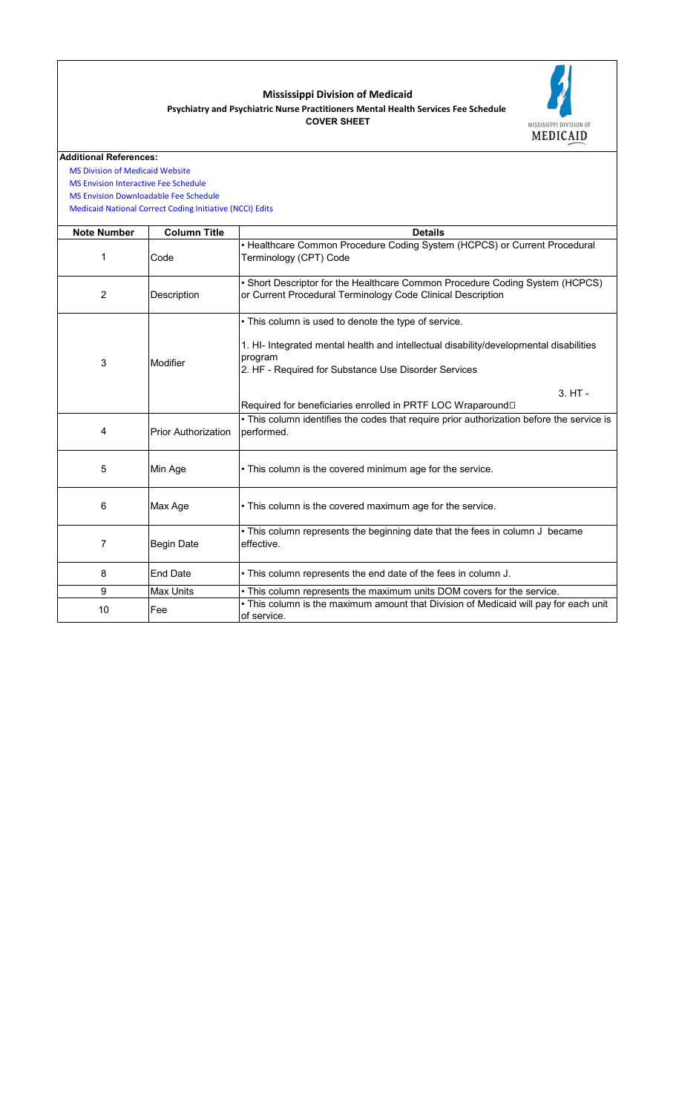## **Mississippi Division of Medicaid Psychiatry and Psychiatric Nurse Practitioners Mental Health Services Fee Schedule COVER SHEET**



**Additional References:**

 [MS Division of Medica](https://medicaid.ms.gov/)id Website

 [MS Envision Interactiv](https://www.ms-medicaid.com/msenvision/feeScheduleInquiry.do)e Fee Schedule  [MS Envision Downloa](https://www.ms-medicaid.com/msenvision/AMA_ADA_licenseAgreement.do?strUrl=feeScheduleInquiry)dable Fee Schedule

 [Medicaid National Co](https://www.medicaid.gov/medicaid/program-integrity/national-correct-coding-initiative/medicaid-ncci-edit-files/index.html)rrect Coding Initiative (NCCI) Edits

| <b>Note Number</b> | <b>Column Title</b>        | <b>Details</b>                                                                                                                                                                                                    |  |  |  |  |  |
|--------------------|----------------------------|-------------------------------------------------------------------------------------------------------------------------------------------------------------------------------------------------------------------|--|--|--|--|--|
| 1                  | Code                       | • Healthcare Common Procedure Coding System (HCPCS) or Current Procedural<br>Terminology (CPT) Code                                                                                                               |  |  |  |  |  |
| 2                  | Description                | • Short Descriptor for the Healthcare Common Procedure Coding System (HCPCS)<br>or Current Procedural Terminology Code Clinical Description                                                                       |  |  |  |  |  |
| 3                  | Modifier                   | • This column is used to denote the type of service.<br>1. HI- Integrated mental health and intellectual disability/developmental disabilities<br>program<br>2. HF - Required for Substance Use Disorder Services |  |  |  |  |  |
|                    |                            | $3. H$ T -<br>Required for beneficiaries enrolled in PRTF LOC Wraparound□                                                                                                                                         |  |  |  |  |  |
| 4                  | <b>Prior Authorization</b> | • This column identifies the codes that require prior authorization before the service is<br>performed.                                                                                                           |  |  |  |  |  |
| 5                  | Min Age                    | • This column is the covered minimum age for the service.                                                                                                                                                         |  |  |  |  |  |
| 6                  | Max Age                    | • This column is the covered maximum age for the service.                                                                                                                                                         |  |  |  |  |  |
| 7                  | <b>Begin Date</b>          | • This column represents the beginning date that the fees in column J became<br>effective.                                                                                                                        |  |  |  |  |  |
| 8                  | <b>End Date</b>            | • This column represents the end date of the fees in column J.                                                                                                                                                    |  |  |  |  |  |
| 9                  | <b>Max Units</b>           | • This column represents the maximum units DOM covers for the service.                                                                                                                                            |  |  |  |  |  |
| 10                 | Fee                        | . This column is the maximum amount that Division of Medicaid will pay for each unit<br>of service.                                                                                                               |  |  |  |  |  |